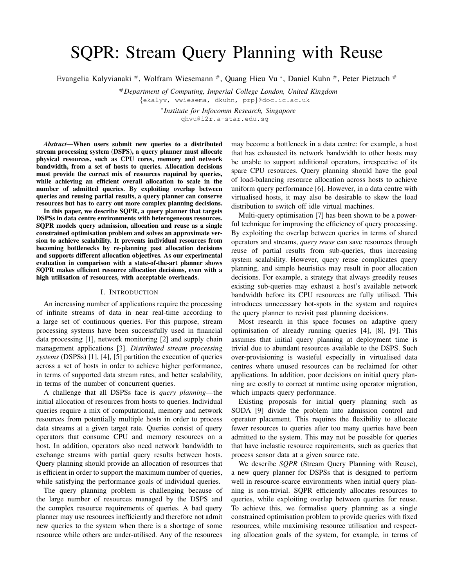# SQPR: Stream Query Planning with Reuse

Evangelia Kalyvianaki #, Wolfram Wiesemann #, Quang Hieu Vu \*, Daniel Kuhn #, Peter Pietzuch #

#*Department of Computing, Imperial College London, United Kingdom* {ekalyv, wwiesema, dkuhn, prp}@doc.ic.ac.uk

> ∗ *Institute for Infocomm Research, Singapore* qhvu@i2r.a-star.edu.sg

*Abstract*—When users submit new queries to a distributed stream processing system (DSPS), a query planner must allocate physical resources, such as CPU cores, memory and network bandwidth, from a set of hosts to queries. Allocation decisions must provide the correct mix of resources required by queries, while achieving an efficient overall allocation to scale in the number of admitted queries. By exploiting overlap between queries and reusing partial results, a query planner can conserve resources but has to carry out more complex planning decisions.

In this paper, we describe SQPR, a query planner that targets DSPSs in data centre environments with heterogeneous resources. SQPR models query admission, allocation and reuse as a single constrained optimisation problem and solves an approximate version to achieve scalability. It prevents individual resources from becoming bottlenecks by re-planning past allocation decisions and supports different allocation objectives. As our experimental evaluation in comparison with a state-of-the-art planner shows SQPR makes efficient resource allocation decisions, even with a high utilisation of resources, with acceptable overheads.

#### I. INTRODUCTION

An increasing number of applications require the processing of infinite streams of data in near real-time according to a large set of continuous queries. For this purpose, stream processing systems have been successfully used in financial data processing [1], network monitoring [2] and supply chain management applications [3]. *Distributed stream processing systems* (DSPSs) [1], [4], [5] partition the execution of queries across a set of hosts in order to achieve higher performance, in terms of supported data stream rates, and better scalability, in terms of the number of concurrent queries.

A challenge that all DSPSs face is *query planning*—the initial allocation of resources from hosts to queries. Individual queries require a mix of computational, memory and network resources from potentially multiple hosts in order to process data streams at a given target rate. Queries consist of query operators that consume CPU and memory resources on a host. In addition, operators also need network bandwidth to exchange streams with partial query results between hosts. Query planning should provide an allocation of resources that is efficient in order to support the maximum number of queries, while satisfying the performance goals of individual queries.

The query planning problem is challenging because of the large number of resources managed by the DSPS and the complex resource requirements of queries. A bad query planner may use resources inefficiently and therefore not admit new queries to the system when there is a shortage of some resource while others are under-utilised. Any of the resources may become a bottleneck in a data centre: for example, a host that has exhausted its network bandwidth to other hosts may be unable to support additional operators, irrespective of its spare CPU resources. Query planning should have the goal of load-balancing resource allocation across hosts to achieve uniform query performance [6]. However, in a data centre with virtualised hosts, it may also be desirable to skew the load distribution to switch off idle virtual machines.

Multi-query optimisation [7] has been shown to be a powerful technique for improving the efficiency of query processing. By exploiting the overlap between queries in terms of shared operators and streams, *query reuse* can save resources through reuse of partial results from sub-queries, thus increasing system scalability. However, query reuse complicates query planning, and simple heuristics may result in poor allocation decisions. For example, a strategy that always greedily reuses existing sub-queries may exhaust a host's available network bandwidth before its CPU resources are fully utilised. This introduces unnecessary hot-spots in the system and requires the query planner to revisit past planning decisions.

Most research in this space focuses on adaptive query optimisation of already running queries [4], [8], [9]. This assumes that initial query planning at deployment time is trivial due to abundant resources available to the DSPS. Such over-provisioning is wasteful especially in virtualised data centres where unused resources can be reclaimed for other applications. In addition, poor decisions on initial query planning are costly to correct at runtime using operator migration, which impacts query performance.

Existing proposals for initial query planning such as SODA [9] divide the problem into admission control and operator placement. This requires the flexibility to allocate fewer resources to queries after too many queries have been admitted to the system. This may not be possible for queries that have inelastic resource requirements, such as queries that process sensor data at a given source rate.

We describe *SQPR* (Stream Query Planning with Reuse), a new query planner for DSPSs that is designed to perform well in resource-scarce environments when initial query planning is non-trivial. SQPR efficiently allocates resources to queries, while exploiting overlap between queries for reuse. To achieve this, we formalise query planning as a single constrained optimisation problem to provide queries with fixed resources, while maximising resource utilisation and respecting allocation goals of the system, for example, in terms of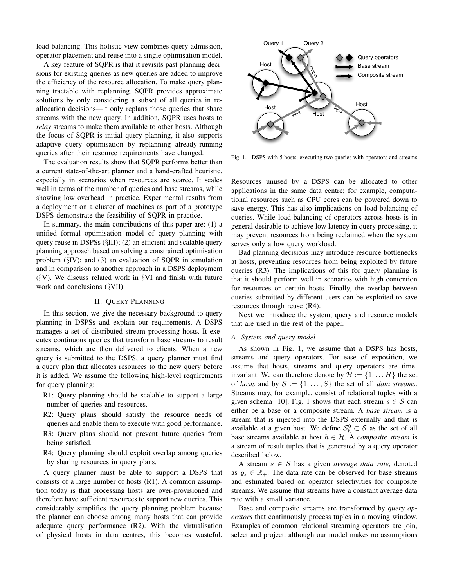load-balancing. This holistic view combines query admission, operator placement and reuse into a single optimisation model.

A key feature of SQPR is that it revisits past planning decisions for existing queries as new queries are added to improve the efficiency of the resource allocation. To make query planning tractable with replanning, SQPR provides approximate solutions by only considering a subset of all queries in reallocation decisions—it only replans those queries that share streams with the new query. In addition, SQPR uses hosts to *relay* streams to make them available to other hosts. Although the focus of SQPR is initial query planning, it also supports adaptive query optimisation by replanning already-running queries after their resource requirements have changed.

The evaluation results show that SQPR performs better than a current state-of-the-art planner and a hand-crafted heuristic, especially in scenarios when resources are scarce. It scales well in terms of the number of queries and base streams, while showing low overhead in practice. Experimental results from a deployment on a cluster of machines as part of a prototype DSPS demonstrate the feasibility of SQPR in practice.

In summary, the main contributions of this paper are: (1) a unified formal optimisation model of query planning with query reuse in DSPSs (§III); (2) an efficient and scalable query planning approach based on solving a constrained optimisation problem (§IV); and (3) an evaluation of SQPR in simulation and in comparison to another approach in a DSPS deployment  $(\S{V})$ . We discuss related work in  $\S{VI}$  and finish with future work and conclusions (§VII).

# II. QUERY PLANNING

In this section, we give the necessary background to query planning in DSPSs and explain our requirements. A DSPS manages a set of distributed stream processing hosts. It executes continuous queries that transform base streams to result streams, which are then delivered to clients. When a new query is submitted to the DSPS, a query planner must find a query plan that allocates resources to the new query before it is added. We assume the following high-level requirements for query planning:

- R1: Query planning should be scalable to support a large number of queries and resources.
- R2: Query plans should satisfy the resource needs of queries and enable them to execute with good performance.
- R3: Query plans should not prevent future queries from being satisfied.
- R4: Query planning should exploit overlap among queries by sharing resources in query plans.

A query planner must be able to support a DSPS that consists of a large number of hosts (R1). A common assumption today is that processing hosts are over-provisioned and therefore have sufficient resources to support new queries. This considerably simplifies the query planning problem because the planner can choose among many hosts that can provide adequate query performance (R2). With the virtualisation of physical hosts in data centres, this becomes wasteful.



Fig. 1. DSPS with 5 hosts, executing two queries with operators and streams

Resources unused by a DSPS can be allocated to other applications in the same data centre; for example, computational resources such as CPU cores can be powered down to save energy. This has also implications on load-balancing of queries. While load-balancing of operators across hosts is in general desirable to achieve low latency in query processing, it may prevent resources from being reclaimed when the system serves only a low query workload.

Bad planning decisions may introduce resource bottlenecks at hosts, preventing resources from being exploited by future queries (R3). The implications of this for query planning is that it should perform well in scenarios with high contention for resources on certain hosts. Finally, the overlap between queries submitted by different users can be exploited to save resources through reuse (R4).

Next we introduce the system, query and resource models that are used in the rest of the paper.

#### *A. System and query model*

As shown in Fig. 1, we assume that a DSPS has hosts, streams and query operators. For ease of exposition, we assume that hosts, streams and query operators are timeinvariant. We can therefore denote by  $\mathcal{H} := \{1, \dots H\}$  the set of *hosts* and by  $S := \{1, \ldots, S\}$  the set of all *data streams*. Streams may, for example, consist of relational tuples with a given schema [10]. Fig. 1 shows that each stream  $s \in S$  can either be a base or a composite stream. A *base stream* is a stream that is injected into the DSPS externally and that is available at a given host. We define  $S_h^0 \subset S$  as the set of all base streams available at host  $h \in \mathcal{H}$ . A *composite stream* is a stream of result tuples that is generated by a query operator described below.

A stream s ∈ S has a given *average data rate*, denoted as  $\varrho_s \in \mathbb{R}_+$ . The data rate can be observed for base streams and estimated based on operator selectivities for composite streams. We assume that streams have a constant average data rate with a small variance.

Base and composite streams are transformed by *query operators* that continuously process tuples in a moving window. Examples of common relational streaming operators are join, select and project, although our model makes no assumptions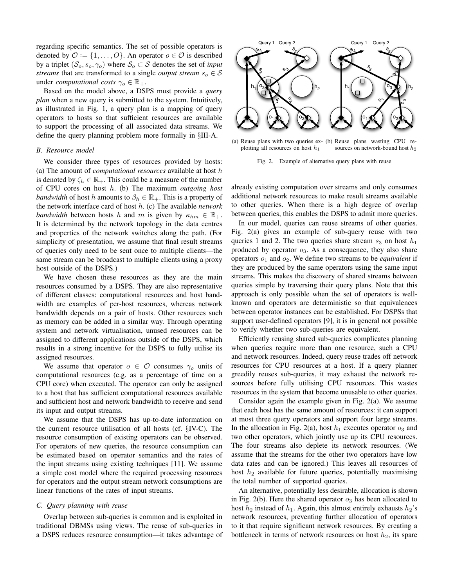regarding specific semantics. The set of possible operators is denoted by  $\mathcal{O} := \{1, \ldots, O\}$ . An operator  $o \in \mathcal{O}$  is described by a triplet  $(S_o, s_o, \gamma_o)$  where  $S_o \subset S$  denotes the set of *input streams* that are transformed to a single *output stream*  $s_o \in S$ under *computational costs*  $\gamma_o \in \mathbb{R}_+$ .

Based on the model above, a DSPS must provide a *query plan* when a new query is submitted to the system. Intuitively, as illustrated in Fig. 1, a query plan is a mapping of query operators to hosts so that sufficient resources are available to support the processing of all associated data streams. We define the query planning problem more formally in §III-A.

## *B. Resource model*

We consider three types of resources provided by hosts: (a) The amount of *computational resources* available at host h is denoted by  $\zeta_h \in \mathbb{R}_+$ . This could be a measure of the number of CPU cores on host h. (b) The maximum *outgoing host bandwidth* of host h amounts to  $\beta_h \in \mathbb{R}_+$ . This is a property of the network interface card of host h. (c) The available *network bandwidth* between hosts h and m is given by  $\kappa_{hm} \in \mathbb{R}_+$ . It is determined by the network topology in the data centres and properties of the network switches along the path. (For simplicity of presentation, we assume that final result streams of queries only need to be sent once to multiple clients—the same stream can be broadcast to multiple clients using a proxy host outside of the DSPS.)

We have chosen these resources as they are the main resources consumed by a DSPS. They are also representative of different classes: computational resources and host bandwidth are examples of per-host resources, whereas network bandwidth depends on a pair of hosts. Other resources such as memory can be added in a similar way. Through operating system and network virtualisation, unused resources can be assigned to different applications outside of the DSPS, which results in a strong incentive for the DSPS to fully utilise its assigned resources.

We assume that operator  $o \in \mathcal{O}$  consumes  $\gamma_o$  units of computational resources (e.g. as a percentage of time on a CPU core) when executed. The operator can only be assigned to a host that has sufficient computational resources available and sufficient host and network bandwidth to receive and send its input and output streams.

We assume that the DSPS has up-to-date information on the current resource utilisation of all hosts (cf. §IV-C). The resource consumption of existing operators can be observed. For operators of new queries, the resource consumption can be estimated based on operator semantics and the rates of the input streams using existing techniques [11]. We assume a simple cost model where the required processing resources for operators and the output stream network consumptions are linear functions of the rates of input streams.

## *C. Query planning with reuse*

Overlap between sub-queries is common and is exploited in traditional DBMSs using views. The reuse of sub-queries in a DSPS reduces resource consumption—it takes advantage of



(a) Reuse plans with two queries ex-(b) Reuse plans wasting CPU reploiting all resources on host  $h_1$ sources on network-bound host  $h_2$ 

Fig. 2. Example of alternative query plans with reuse

already existing computation over streams and only consumes additional network resources to make result streams available to other queries. When there is a high degree of overlap between queries, this enables the DSPS to admit more queries.

In our model, queries can reuse streams of other queries. Fig. 2(a) gives an example of sub-query reuse with two queries 1 and 2. The two queries share stream  $s_3$  on host  $h_1$ produced by operator  $o_3$ . As a consequence, they also share operators  $o_1$  and  $o_2$ . We define two streams to be *equivalent* if they are produced by the same operators using the same input streams. This makes the discovery of shared streams between queries simple by traversing their query plans. Note that this approach is only possible when the set of operators is wellknown and operators are deterministic so that equivalences between operator instances can be established. For DSPSs that support user-defined operators [9], it is in general not possible to verify whether two sub-queries are equivalent.

Efficiently reusing shared sub-queries complicates planning when queries require more than one resource, such a CPU and network resources. Indeed, query reuse trades off network resources for CPU resources at a host. If a query planner greedily reuses sub-queries, it may exhaust the network resources before fully utilising CPU resources. This wastes resources in the system that become unusable to other queries.

Consider again the example given in Fig. 2(a). We assume that each host has the same amount of resources: it can support at most three query operators and support four large streams. In the allocation in Fig. 2(a), host  $h_1$  executes operator  $o_3$  and two other operators, which jointly use up its CPU resources. The four streams also deplete its network resources. (We assume that the streams for the other two operators have low data rates and can be ignored.) This leaves all resources of host  $h_2$  available for future queries, potentially maximising the total number of supported queries.

An alternative, potentially less desirable, allocation is shown in Fig. 2(b). Here the shared operator  $o_3$  has been allocated to host  $h_2$  instead of  $h_1$ . Again, this almost entirely exhausts  $h_2$ 's network resources, preventing further allocation of operators to it that require significant network resources. By creating a bottleneck in terms of network resources on host  $h_2$ , its spare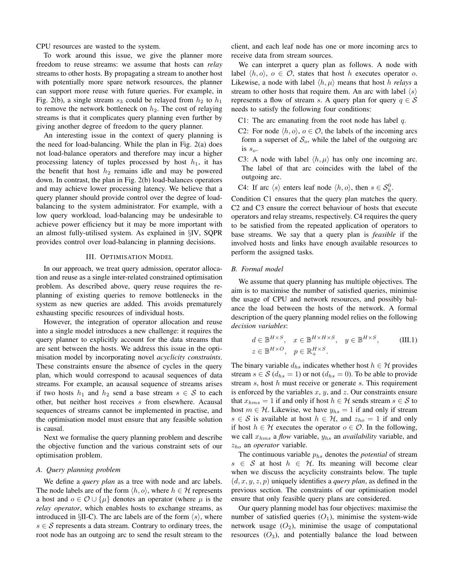CPU resources are wasted to the system.

To work around this issue, we give the planner more freedom to reuse streams: we assume that hosts can *relay* streams to other hosts. By propagating a stream to another host with potentially more spare network resources, the planner can support more reuse with future queries. For example, in Fig. 2(b), a single stream  $s_3$  could be relayed from  $h_2$  to  $h_1$ to remove the network bottleneck on  $h_2$ . The cost of relaying streams is that it complicates query planning even further by giving another degree of freedom to the query planner.

An interesting issue in the context of query planning is the need for load-balancing. While the plan in Fig. 2(a) does not load-balance operators and therefore may incur a higher processing latency of tuples processed by host  $h_1$ , it has the benefit that host  $h_2$  remains idle and may be powered down. In contrast, the plan in Fig. 2(b) load-balances operators and may achieve lower processing latency. We believe that a query planner should provide control over the degree of loadbalancing to the system administrator. For example, with a low query workload, load-balancing may be undesirable to achieve power efficiency but it may be more important with an almost fully-utilised system. As explained in §IV, SQPR provides control over load-balancing in planning decisions.

# III. OPTIMISATION MODEL

In our approach, we treat query admission, operator allocation and reuse as a single inter-related constrained optimisation problem. As described above, query reuse requires the replanning of existing queries to remove bottlenecks in the system as new queries are added. This avoids prematurely exhausting specific resources of individual hosts.

However, the integration of operator allocation and reuse into a single model introduces a new challenge: it requires the query planner to explicitly account for the data streams that are sent between the hosts. We address this issue in the optimisation model by incorporating novel *acyclicity constraints*. These constraints ensure the absence of cycles in the query plan, which would correspond to acausal sequences of data streams. For example, an acausal sequence of streams arises if two hosts  $h_1$  and  $h_2$  send a base stream  $s \in S$  to each other, but neither host receives s from elsewhere. Acausal sequences of streams cannot be implemented in practise, and the optimisation model must ensure that any feasible solution is causal.

Next we formalise the query planning problem and describe the objective function and the various constraint sets of our optimisation problem.

#### *A. Query planning problem*

We define a *query plan* as a tree with node and arc labels. The node labels are of the form  $\langle h, o \rangle$ , where  $h \in \mathcal{H}$  represents a host and  $o \in \mathcal{O} \cup \{\mu\}$  denotes an operator (where  $\mu$  is the *relay operator*, which enables hosts to exchange streams, as introduced in  $\S$ II-C). The arc labels are of the form  $\langle s \rangle$ , where  $s \in S$  represents a data stream. Contrary to ordinary trees, the root node has an outgoing arc to send the result stream to the

client, and each leaf node has one or more incoming arcs to receive data from stream sources.

We can interpret a query plan as follows. A node with label  $\langle h, o \rangle$ ,  $o \in \mathcal{O}$ , states that host h executes operator o. Likewise, a node with label  $\langle h, \mu \rangle$  means that host h *relays* a stream to other hosts that require them. An arc with label  $\langle s \rangle$ represents a flow of stream s. A query plan for query  $q \in S$ needs to satisfy the following four conditions:

C1: The arc emanating from the root node has label  $q$ .

- C2: For node  $\langle h, o \rangle$ ,  $o \in \mathcal{O}$ , the labels of the incoming arcs form a superset of  $S<sub>o</sub>$ , while the label of the outgoing arc is  $s_{\alpha}$ .
- C3: A node with label  $\langle h, \mu \rangle$  has only one incoming arc. The label of that arc coincides with the label of the outgoing arc.
- C4: If arc  $\langle s \rangle$  enters leaf node  $\langle h, o \rangle$ , then  $s \in S_h^0$ .

Condition C1 ensures that the query plan matches the query. C2 and C3 ensure the correct behaviour of hosts that execute operators and relay streams, respectively. C4 requires the query to be satisfied from the repeated application of operators to base streams. We say that a query plan is *feasible* if the involved hosts and links have enough available resources to perform the assigned tasks.

#### *B. Formal model*

We assume that query planning has multiple objectives. The aim is to maximise the number of satisfied queries, minimise the usage of CPU and network resources, and possibly balance the load between the hosts of the network. A formal description of the query planning model relies on the following *decision variables*:

$$
d \in \mathbb{B}^{H \times S}, \quad x \in \mathbb{B}^{H \times H \times S}, \quad y \in \mathbb{B}^{H \times S}, \quad \text{(III.1)}
$$

$$
z \in \mathbb{B}^{H \times O}, \quad p \in \mathbb{R}_+^{H \times S}.
$$

The binary variable  $d_{hs}$  indicates whether host  $h \in \mathcal{H}$  provides stream  $s \in \mathcal{S}$  ( $d_{hs} = 1$ ) or not ( $d_{hs} = 0$ ). To be able to provide stream s, host h must receive or generate s. This requirement is enforced by the variables  $x$ ,  $y$ , and  $z$ . Our constraints ensure that  $x_{hms} = 1$  if and only if host  $h \in \mathcal{H}$  sends stream  $s \in \mathcal{S}$  to host  $m \in \mathcal{H}$ . Likewise, we have  $y_{hs} = 1$  if and only if stream  $s \in S$  is available at host  $h \in H$ , and  $z_{ho} = 1$  if and only if host  $h \in \mathcal{H}$  executes the operator  $o \in \mathcal{O}$ . In the following, we call xhms a *flow* variable, yhs an *availability* variable, and  $z_{ho}$  an *operator* variable.

The continuous variable  $p_{hs}$  denotes the *potential* of stream  $s \in S$  at host  $h \in H$ . Its meaning will become clear when we discuss the acyclicity constraints below. The tuple  $(d, x, y, z, p)$  uniquely identifies a *query plan*, as defined in the previous section. The constraints of our optimisation model ensure that only feasible query plans are considered.

Our query planning model has four objectives: maximise the number of satisfied queries  $(O_1)$ , minimise the system-wide network usage  $(O_2)$ , minimise the usage of computational resources  $(O_3)$ , and potentially balance the load between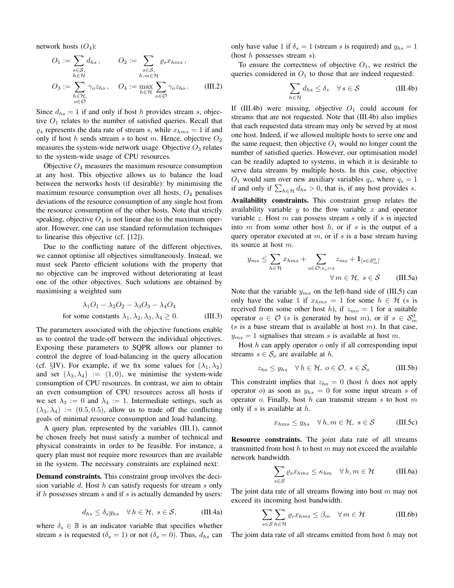network hosts  $(O_4)$ :

$$
O_1 := \sum_{\substack{s \in S, \\ h \in \mathcal{H}}} d_{hs}, \qquad O_2 := \sum_{\substack{s \in S, \\ h, m \in \mathcal{H}}} \varrho_s x_{hms},
$$
  

$$
O_3 := \sum_{\substack{h \in \mathcal{H}, \\ h \in \mathcal{H}}} \gamma_o z_{ho}, \qquad O_4 := \max_{h \in \mathcal{H}} \sum_{o \in \mathcal{O}} \gamma_o z_{ho}. \qquad (III.2)
$$

Since  $d_{hs} = 1$  if and only if host h provides stream s, objective  $O_1$  relates to the number of satisfied queries. Recall that  $\varrho_s$  represents the data rate of stream s, while  $x_{hms} = 1$  if and only if host h sends stream s to host m. Hence, objective  $O_2$ measures the system-wide network usage. Objective  $O_3$  relates to the system-wide usage of CPU resources.

Objective  $O_4$  measures the maximum resource consumption at any host. This objective allows us to balance the load between the networks hosts (if desirable): by minimising the maximum resource consumption over all hosts,  $O_4$  penalises deviations of the resource consumption of any single host from the resource consumption of the other hosts. Note that strictly speaking, objective  $O_4$  is not linear due to the maximum operator. However, one can use standard reformulation techniques to linearise this objective (cf. [12]).

Due to the conflicting nature of the different objectives, we cannot optimise all objectives simultaneously. Instead, we must seek Pareto efficient solutions with the property that no objective can be improved without deteriorating at least one of the other objectives. Such solutions are obtained by maximising a weighted sum

$$
\lambda_1 O_1 - \lambda_2 O_2 - \lambda_3 O_3 - \lambda_4 O_4
$$
  
for some constants  $\lambda_1, \lambda_2, \lambda_3, \lambda_4 \ge 0$ . (III.3)

The parameters associated with the objective functions enable us to control the trade-off between the individual objectives. Exposing these parameters to SQPR allows our planner to control the degree of load-balancing in the query allocation (cf. §IV). For example, if we fix some values for  $(\lambda_1, \lambda_2)$ and set  $(\lambda_3, \lambda_4) := (1, 0)$ , we minimise the system-wide consumption of CPU resources. In contrast, we aim to obtain an even consumption of CPU resources across all hosts if we set  $\lambda_3 := 0$  and  $\lambda_4 := 1$ . Intermediate settings, such as  $(\lambda_3, \lambda_4) := (0.5, 0.5)$ , allow us to trade off the conflicting goals of minimal resource consumption and load balancing.

A query plan, represented by the variables (III.1), cannot be chosen freely but must satisfy a number of technical and physical constraints in order to be feasible. For instance, a query plan must not require more resources than are available in the system. The necessary constraints are explained next:

Demand constraints. This constraint group involves the decision variable d. Host h can satisfy requests for stream s only if  $h$  possesses stream  $s$  and if  $s$  is actually demanded by users:

$$
d_{hs} \le \delta_s y_{hs} \quad \forall \, h \in \mathcal{H}, \, s \in \mathcal{S}, \tag{III.4a}
$$

where  $\delta_s \in \mathbb{B}$  is an indicator variable that specifies whether stream s is requested ( $\delta_s = 1$ ) or not ( $\delta_s = 0$ ). Thus,  $d_{hs}$  can

only have value 1 if  $\delta_s = 1$  (stream s is required) and  $y_{hs} = 1$ (host  $h$  possesses stream  $s$ ).

To ensure the correctness of objective  $O<sub>1</sub>$ , we restrict the queries considered in  $O_1$  to those that are indeed requested:

$$
\sum_{h \in \mathcal{H}} d_{hs} \le \delta_s \quad \forall \, s \in \mathcal{S} \tag{III.4b}
$$

If (III.4b) were missing, objective  $O_1$  could account for streams that are not requested. Note that (III.4b) also implies that each requested data stream may only be served by at most one host. Indeed, if we allowed multiple hosts to serve one and the same request, then objective  $O_1$  would no longer count the number of satisfied queries. However, our optimisation model can be readily adapted to systems, in which it is desirable to serve data streams by multiple hosts. In this case, objective  $O_1$  would sum over new auxiliary variables  $q_s$ , where  $q_s = 1$ if and only if  $\sum_{h \in \mathcal{H}} d_{hs} > 0$ , that is, if any host provides s.

Availability constraints. This constraint group relates the availability variable  $y$  to the flow variable x and operator variable  $z$ . Host  $m$  can possess stream  $s$  only if  $s$  is injected into  $m$  from some other host  $h$ , or if  $s$  is the output of a query operator executed at  $m$ , or if  $s$  is a base stream having its source at host m.

$$
y_{ms} \leq \sum_{h \in \mathcal{H}} x_{hms} + \sum_{o \in \mathcal{O}: s_o = s} z_{mo} + \mathbf{1}_{[s \in \mathcal{S}_m^0]}
$$
  

$$
\forall m \in \mathcal{H}, s \in \mathcal{S}
$$
 (III.5a)

Note that the variable  $y_{ms}$  on the left-hand side of (III.5) can only have the value 1 if  $x_{hms} = 1$  for some  $h \in \mathcal{H}$  (s is received from some other host h), if  $z_{mo} = 1$  for a suitable operator  $o \in \mathcal{O}$  (s is generated by host m), or if  $s \in \mathcal{S}_m^0$ (s is a base stream that is available at host  $m$ ). In that case,  $y_{ms} = 1$  signalises that stream s is available at host m.

Host  $h$  can apply operator  $o$  only if all corresponding input streams  $s \in S_0$  are available at h.

$$
z_{ho} \le y_{hs} \quad \forall \, h \in \mathcal{H}, \ o \in \mathcal{O}, \ s \in \mathcal{S}_o \tag{III.5b}
$$

This constraint implies that  $z_{ho} = 0$  (host h does not apply operator o) as soon as  $y_{hs} = 0$  for some input stream s of operator  $o$ . Finally, host  $h$  can transmit stream  $s$  to host  $m$ only if  $s$  is available at  $h$ .

$$
x_{hms} \le y_{hs} \quad \forall \, h, m \in \mathcal{H}, \, s \in \mathcal{S} \tag{III.5c}
$$

Resource constraints. The joint data rate of all streams transmitted from host  $h$  to host  $m$  may not exceed the available network bandwidth.

$$
\sum_{s \in \mathcal{S}} \varrho_s x_{hms} \le \kappa_{hm} \quad \forall \, h, m \in \mathcal{H} \tag{III.6a}
$$

The joint data rate of all streams flowing into host  $m$  may not exceed its incoming host bandwidth.

$$
\sum_{s \in S} \sum_{h \in \mathcal{H}} \varrho_c x_{hms} \le \beta_m \quad \forall \, m \in \mathcal{H} \tag{III.6b}
$$

The joint data rate of all streams emitted from host  $h$  may not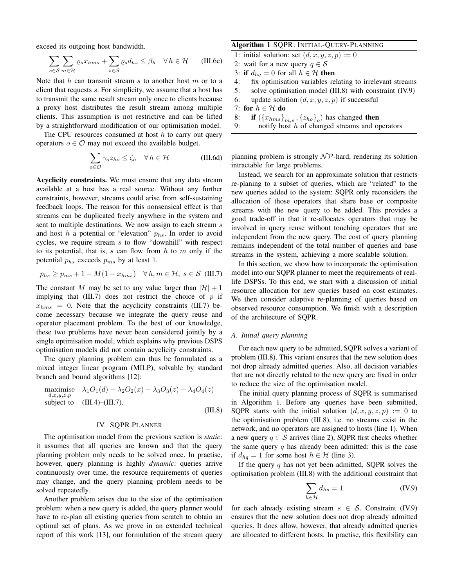exceed its outgoing host bandwidth.

$$
\sum_{s \in S} \sum_{m \in \mathcal{H}} \varrho_s x_{hms} + \sum_{s \in S} \varrho_s d_{hs} \le \beta_h \quad \forall \, h \in \mathcal{H} \qquad \text{(III.6c)}
$$

Note that  $h$  can transmit stream  $s$  to another host  $m$  or to a client that requests s. For simplicity, we assume that a host has to transmit the same result stream only once to clients because a proxy host distributes the result stream among multiple clients. This assumption is not restrictive and can be lifted by a straightforward modification of our optimisation model.

The CPU resources consumed at host  $h$  to carry out query operators  $o \in \mathcal{O}$  may not exceed the available budget.

$$
\sum_{o \in \mathcal{O}} \gamma_o z_{ho} \le \zeta_h \quad \forall \, h \in \mathcal{H} \tag{III.6d}
$$

Acyclicity constraints. We must ensure that any data stream available at a host has a real source. Without any further constraints, however, streams could arise from self-sustaining feedback loops. The reason for this nonsensical effect is that streams can be duplicated freely anywhere in the system and sent to multiple destinations. We now assign to each stream s and host  $h$  a potential or "elevation"  $p_{hs}$ . In order to avoid cycles, we require stream s to flow "downhill" with respect to its potential, that is,  $s$  can flow from  $h$  to  $m$  only if the potential  $p_{hs}$  exceeds  $p_{ms}$  by at least 1.

$$
p_{hs} \ge p_{ms} + 1 - M(1 - x_{hms}) \quad \forall \, h, m \in \mathcal{H}, \, s \in \mathcal{S} \, (\text{III.7})
$$

The constant M may be set to any value larger than  $|\mathcal{H}| + 1$ implying that  $(III.7)$  does not restrict the choice of p if  $x_{hms} = 0$ . Note that the acyclicity constraints (III.7) become necessary because we integrate the query reuse and operator placement problem. To the best of our knowledge, these two problems have never been considered jointly by a single optimisation model, which explains why previous DSPS optimisation models did not contain acyclicity constraints.

The query planning problem can thus be formulated as a mixed integer linear program (MILP), solvable by standard branch and bound algorithms [12]:

maximize 
$$
\lambda_1 O_1(d) - \lambda_2 O_2(x) - \lambda_3 O_3(z) - \lambda_4 O_4(z)
$$
  
subject to (III.4)–(III.7). (III.8)

# IV. SQPR PLANNER

The optimisation model from the previous section is *static*: it assumes that all queries are known and that the query planning problem only needs to be solved once. In practise, however, query planning is highly *dynamic*: queries arrive continuously over time, the resource requirements of queries may change, and the query planning problem needs to be solved repeatedly.

Another problem arises due to the size of the optimisation problem: when a new query is added, the query planner would have to re-plan all existing queries from scratch to obtain an optimal set of plans. As we prove in an extended technical report of this work [13], our formulation of the stream query

# Algorithm 1 SQPR: INITIAL-QUERY-PLANNING

- 1: initial solution: set  $(d, x, y, z, p) := 0$
- 2: wait for a new query  $q \in S$
- 3: if  $d_{hq} = 0$  for all  $h \in \mathcal{H}$  then
- 4: fix optimisation variables relating to irrelevant streams
- 5: solve optimisation model (III.8) with constraint (IV.9)
- 6: update solution  $(d, x, y, z, p)$  if successful
- 7: for  $h \in \mathcal{H}$  do
- 8: **if**  $(\{x_{hms}\}_{m,s}, \{z_{ho}\}_{o})$  has changed **then**
- 9: notify host  $h$  of changed streams and operators

planning problem is strongly  $\mathcal{NP}$ -hard, rendering its solution intractable for large problems.

Instead, we search for an approximate solution that restricts re-planing to a subset of queries, which are "related" to the new queries added to the system: SQPR only reconsiders the allocation of those operators that share base or composite streams with the new query to be added. This provides a good trade-off in that it re-allocates operators that may be involved in query reuse without touching operators that are independent from the new query. The cost of query planning remains independent of the total number of queries and base streams in the system, achieving a more scalable solution.

In this section, we show how to incorporate the optimisation model into our SQPR planner to meet the requirements of reallife DSPSs. To this end, we start with a discussion of initial resource allocation for new queries based on cost estimates. We then consider adaptive re-planning of queries based on observed resource consumption. We finish with a description of the architecture of SQPR.

# *A. Initial query planning*

For each new query to be admitted, SQPR solves a variant of problem (III.8). This variant ensures that the new solution does not drop already admitted queries. Also, all decision variables that are not directly related to the new query are fixed in order to reduce the size of the optimisation model.

The initial query planning process of SQPR is summarised in Algorithm 1. Before any queries have been submitted, SQPR starts with the initial solution  $(d, x, y, z, p) := 0$  to the optimisation problem (III.8), i.e. no streams exist in the network, and no operators are assigned to hosts (line 1). When a new query  $q \in S$  arrives (line 2), SQPR first checks whether the same query  $q$  has already been admitted: this is the case if  $d_{hq} = 1$  for some host  $h \in \mathcal{H}$  (line 3).

If the query  $q$  has not yet been admitted, SQPR solves the optimisation problem (III.8) with the additional constraint that

$$
\sum_{h \in \mathcal{H}} d_{hs} = 1
$$
 (IV.9)

for each already existing stream  $s \in S$ . Constraint (IV.9) ensures that the new solution does not drop already admitted queries. It does allow, however, that already admitted queries are allocated to different hosts. In practise, this flexibility can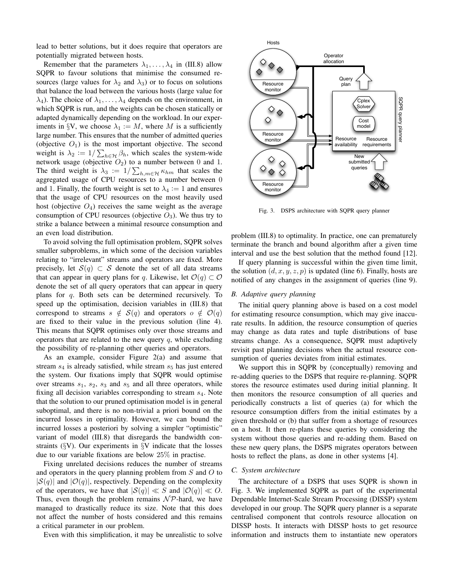lead to better solutions, but it does require that operators are potentially migrated between hosts.

Remember that the parameters  $\lambda_1, \ldots, \lambda_4$  in (III.8) allow SQPR to favour solutions that minimise the consumed resources (large values for  $\lambda_2$  and  $\lambda_3$ ) or to focus on solutions that balance the load between the various hosts (large value for  $\lambda_4$ ). The choice of  $\lambda_1, \ldots, \lambda_4$  depends on the environment, in which SQPR is run, and the weights can be chosen statically or adapted dynamically depending on the workload. In our experiments in §V, we choose  $\lambda_1 := M$ , where M is a sufficiently large number. This ensures that the number of admitted queries (objective  $O_1$ ) is the most important objective. The second weight is  $\lambda_2 := 1/\sum_{h \in \mathcal{H}} \beta_h$ , which scales the system-wide network usage (objective  $O_2$ ) to a number between 0 and 1. The third weight is  $\lambda_3 := 1/\sum_{h,m \in \mathcal{H}} \kappa_{hm}$  that scales the aggregated usage of CPU resources to a number between 0 and 1. Finally, the fourth weight is set to  $\lambda_4 := 1$  and ensures that the usage of CPU resources on the most heavily used host (objective  $O_4$ ) receives the same weight as the average consumption of CPU resources (objective  $O_3$ ). We thus try to strike a balance between a minimal resource consumption and an even load distribution.

To avoid solving the full optimisation problem, SQPR solves smaller subproblems, in which some of the decision variables relating to "irrelevant" streams and operators are fixed. More precisely, let  $S(q) \subset S$  denote the set of all data streams that can appear in query plans for q. Likewise, let  $\mathcal{O}(q) \subset \mathcal{O}$ denote the set of all query operators that can appear in query plans for q. Both sets can be determined recursively. To speed up the optimisation, decision variables in (III.8) that correspond to streams  $s \notin S(q)$  and operators  $o \notin \mathcal{O}(q)$ are fixed to their value in the previous solution (line 4). This means that SQPR optimises only over those streams and operators that are related to the new query  $q$ , while excluding the possibility of re-planning other queries and operators.

As an example, consider Figure 2(a) and assume that stream  $s_4$  is already satisfied, while stream  $s_5$  has just entered the system. Our fixations imply that SQPR would optimise over streams  $s_1$ ,  $s_2$ ,  $s_3$  and  $s_5$  and all three operators, while fixing all decision variables corresponding to stream  $s<sub>4</sub>$ . Note that the solution to our pruned optimisation model is in general suboptimal, and there is no non-trivial a priori bound on the incurred losses in optimality. However, we can bound the incurred losses a posteriori by solving a simpler "optimistic" variant of model (III.8) that disregards the bandwidth constraints (§V). Our experiments in §V indicate that the losses due to our variable fixations are below 25% in practise.

Fixing unrelated decisions reduces the number of streams and operators in the query planning problem from  $S$  and  $O$  to  $|S(q)|$  and  $|O(q)|$ , respectively. Depending on the complexity of the operators, we have that  $|S(q)| \ll S$  and  $|O(q)| \ll O$ . Thus, even though the problem remains  $\mathcal{NP}$ -hard, we have managed to drastically reduce its size. Note that this does not affect the number of hosts considered and this remains a critical parameter in our problem.

Even with this simplification, it may be unrealistic to solve



Fig. 3. DSPS architecture with SQPR query planner

problem (III.8) to optimality. In practice, one can prematurely terminate the branch and bound algorithm after a given time interval and use the best solution that the method found [12].

If query planning is successful within the given time limit, the solution  $(d, x, y, z, p)$  is updated (line 6). Finally, hosts are notified of any changes in the assignment of queries (line 9).

# *B. Adaptive query planning*

The initial query planning above is based on a cost model for estimating resource consumption, which may give inaccurate results. In addition, the resource consumption of queries may change as data rates and tuple distributions of base streams change. As a consequence, SQPR must adaptively revisit past planning decisions when the actual resource consumption of queries deviates from initial estimates.

We support this in SQPR by (conceptually) removing and re-adding queries to the DSPS that require re-planning. SQPR stores the resource estimates used during initial planning. It then monitors the resource consumption of all queries and periodically constructs a list of queries (a) for which the resource consumption differs from the initial estimates by a given threshold or (b) that suffer from a shortage of resources on a host. It then re-plans these queries by considering the system without those queries and re-adding them. Based on these new query plans, the DSPS migrates operators between hosts to reflect the plans, as done in other systems [4].

# *C. System architecture*

The architecture of a DSPS that uses SQPR is shown in Fig. 3. We implemented SQPR as part of the experimental Dependable Internet-Scale Stream Processing (DISSP) system developed in our group. The SQPR query planner is a separate centralised component that controls resource allocation on DISSP hosts. It interacts with DISSP hosts to get resource information and instructs them to instantiate new operators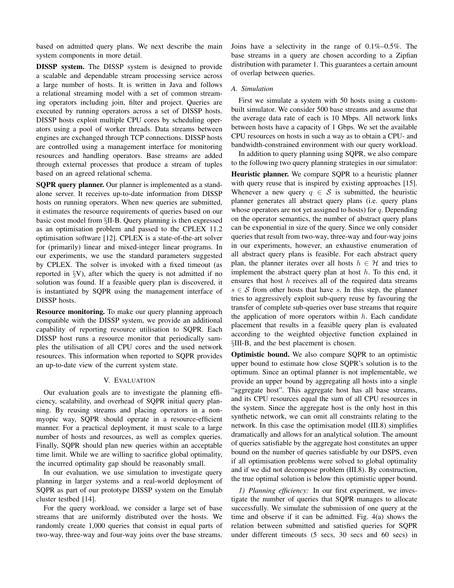based on admitted query plans. We next describe the main system components in more detail.

DISSP system. The DISSP system is designed to provide a scalable and dependable stream processing service across a large number of hosts. It is written in Java and follows a relational streaming model with a set of common streaming operators including join, filter and project. Queries are executed by running operators across a set of DISSP hosts. DISSP hosts exploit multiple CPU cores by scheduling operators using a pool of worker threads. Data streams between engines are exchanged through TCP connections. DISSP hosts are controlled using a management interface for monitoring resources and handling operators. Base streams are added through external processes that produce a stream of tuples based on an agreed relational schema.

SQPR query planner. Our planner is implemented as a standalone server. It receives up-to-date information from DISSP hosts on running operators. When new queries are submitted, it estimates the resource requirements of queries based on our basic cost model from §II-B. Query planning is then expressed as an optimisation problem and passed to the CPLEX 11.2 optimisation software [12]. CPLEX is a state-of-the-art solver for (primarily) linear and mixed-integer linear programs. In our experiments, we use the standard parameters suggested by CPLEX. The solver is invoked with a fixed timeout (as reported in §V), after which the query is not admitted if no solution was found. If a feasible query plan is discovered, it is instantiated by SQPR using the management interface of DISSP hosts.

Resource monitoring. To make our query planning approach compatible with the DISSP system, we provide an additional capability of reporting resource utilisation to SQPR. Each DISSP host runs a resource monitor that periodically samples the utilisation of all CPU cores and the used network resources. This information when reported to SQPR provides an up-to-date view of the current system state.

# V. EVALUATION

Our evaluation goals are to investigate the planning efficiency, scalability, and overhead of SQPR initial query planning. By reusing streams and placing operators in a nonmyopic way, SQPR should operate in a resource-efficient manner. For a practical deployment, it must scale to a large number of hosts and resources, as well as complex queries. Finally, SQPR should plan new queries within an acceptable time limit. While we are willing to sacrifice global optimality, the incurred optimality gap should be reasonably small.

In our evaluation, we use simulation to investigate query planning in larger systems and a real-world deployment of SQPR as part of our prototype DISSP system on the Emulab cluster testbed [14].

For the query workload, we consider a large set of base streams that are uniformly distributed over the hosts. We randomly create 1,000 queries that consist in equal parts of two-way, three-way and four-way joins over the base streams. Joins have a selectivity in the range of 0.1%–0.5%. The base streams in a query are chosen according to a Zipfian distribution with parameter 1. This guarantees a certain amount of overlap between queries.

# *A. Simulation*

First we simulate a system with 50 hosts using a custombuilt simulator. We consider 500 base streams and assume that the average data rate of each is 10 Mbps. All network links between hosts have a capacity of 1 Gbps. We set the available CPU resources on hosts in such a way as to obtain a CPU- and bandwidth-constrained environment with our query workload.

In addition to query planning using SQPR, we also compare to the following two query planning strategies in our simulator:

Heuristic planner. We compare SQPR to a heuristic planner with query reuse that is inspired by existing approaches [15]. Whenever a new query  $q \in S$  is submitted, the heuristic planner generates all abstract query plans (i.e. query plans whose operators are not yet assigned to hosts) for  $q$ . Depending on the operator semantics, the number of abstract query plans can be exponential in size of the query. Since we only consider queries that result from two-way, three-way and four-way joins in our experiments, however, an exhaustive enumeration of all abstract query plans is feasible. For each abstract query plan, the planner iterates over all hosts  $h \in \mathcal{H}$  and tries to implement the abstract query plan at host  $h$ . To this end, it ensures that host  $h$  receives all of the required data streams  $s \in S$  from other hosts that have s. In this step, the planner tries to aggressively exploit sub-query reuse by favouring the transfer of complete sub-queries over base streams that require the application of more operators within  $h$ . Each candidate placement that results in a feasible query plan is evaluated according to the weighted objective function explained in §III-B, and the best placement is chosen.

Optimistic bound. We also compare SQPR to an optimistic upper bound to estimate how close SQPR's solution is to the optimum. Since an optimal planner is not implementable, we provide an upper bound by aggregating all hosts into a single "aggregate host". This aggregate host has all base streams, and its CPU resources equal the sum of all CPU resources in the system. Since the aggregate host is the only host in this synthetic network, we can omit all constraints relating to the network. In this case the optimisation model (III.8) simplifies dramatically and allows for an analytical solution. The amount of queries satisfiable by the aggregate host constitutes an upper bound on the number of queries satisfiable by our DSPS, even if all optimisation problems were solved to global optimality and if we did not decompose problem (III.8). By construction, the true optimal solution is below this optimistic upper bound.

*1) Planning efficiency:* In our first experiment, we investigate the number of queries that SQPR manages to allocate successfully. We simulate the submission of one query at the time and observe if it can be admitted. Fig. 4(a) shows the relation between submitted and satisfied queries for SQPR under different timeouts (5 secs, 30 secs and 60 secs) in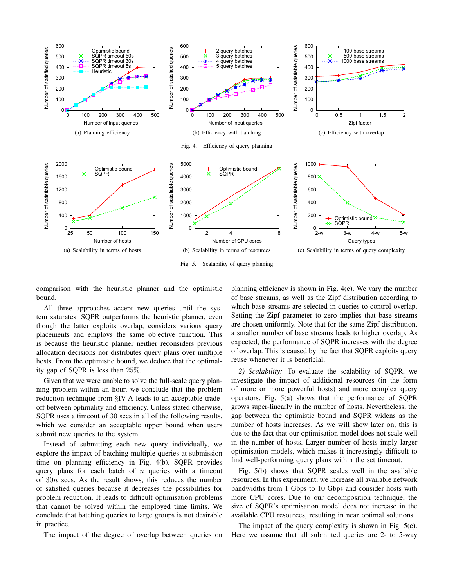

Fig. 5. Scalability of query planning

comparison with the heuristic planner and the optimistic bound.

All three approaches accept new queries until the system saturates. SQPR outperforms the heuristic planner, even though the latter exploits overlap, considers various query placements and employs the same objective function. This is because the heuristic planner neither reconsiders previous allocation decisions nor distributes query plans over multiple hosts. From the optimistic bound, we deduce that the optimality gap of SQPR is less than 25%.

Given that we were unable to solve the full-scale query planning problem within an hour, we conclude that the problem reduction technique from §IV-A leads to an acceptable tradeoff between optimality and efficiency. Unless stated otherwise, SQPR uses a timeout of 30 secs in all of the following results, which we consider an acceptable upper bound when users submit new queries to the system.

Instead of submitting each new query individually, we explore the impact of batching multiple queries at submission time on planning efficiency in Fig. 4(b). SQPR provides query plans for each batch of  $n$  queries with a timeout of 30n secs. As the result shows, this reduces the number of satisfied queries because it decreases the possibilities for problem reduction. It leads to difficult optimisation problems that cannot be solved within the employed time limits. We conclude that batching queries to large groups is not desirable in practice.

The impact of the degree of overlap between queries on

planning efficiency is shown in Fig. 4(c). We vary the number of base streams, as well as the Zipf distribution according to which base streams are selected in queries to control overlap. Setting the Zipf parameter to zero implies that base streams are chosen uniformly. Note that for the same Zipf distribution, a smaller number of base streams leads to higher overlap. As expected, the performance of SQPR increases with the degree of overlap. This is caused by the fact that SQPR exploits query reuse whenever it is beneficial.

*2) Scalability:* To evaluate the scalability of SQPR, we investigate the impact of additional resources (in the form of more or more powerful hosts) and more complex query operators. Fig. 5(a) shows that the performance of SQPR grows super-linearly in the number of hosts. Nevertheless, the gap between the optimistic bound and SQPR widens as the number of hosts increases. As we will show later on, this is due to the fact that our optimisation model does not scale well in the number of hosts. Larger number of hosts imply larger optimisation models, which makes it increasingly difficult to find well-performing query plans within the set timeout.

Fig. 5(b) shows that SQPR scales well in the available resources. In this experiment, we increase all available network bandwidths from 1 Gbps to 10 Gbps and consider hosts with more CPU cores. Due to our decomposition technique, the size of SQPR's optimisation model does not increase in the available CPU resources, resulting in near optimal solutions.

The impact of the query complexity is shown in Fig. 5(c). Here we assume that all submitted queries are 2- to 5-way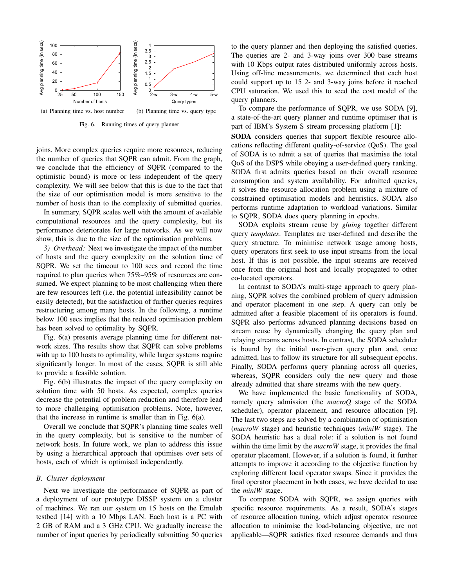

Fig. 6. Running times of query planner

joins. More complex queries require more resources, reducing the number of queries that SQPR can admit. From the graph, we conclude that the efficiency of SQPR (compared to the optimistic bound) is more or less independent of the query complexity. We will see below that this is due to the fact that the size of our optimisation model is more sensitive to the number of hosts than to the complexity of submitted queries.

In summary, SQPR scales well with the amount of available computational resources and the query complexity, but its performance deteriorates for large networks. As we will now show, this is due to the size of the optimisation problems.

*3) Overhead:* Next we investigate the impact of the number of hosts and the query complexity on the solution time of SQPR. We set the timeout to 100 secs and record the time required to plan queries when 75%–95% of resources are consumed. We expect planning to be most challenging when there are few resources left (i.e. the potential infeasibility cannot be easily detected), but the satisfaction of further queries requires restructuring among many hosts. In the following, a runtime below 100 secs implies that the reduced optimisation problem has been solved to optimality by SQPR.

Fig. 6(a) presents average planning time for different network sizes. The results show that SQPR can solve problems with up to 100 hosts to optimality, while larger systems require significantly longer. In most of the cases, SQPR is still able to provide a feasible solution.

Fig. 6(b) illustrates the impact of the query complexity on solution time with 50 hosts. As expected, complex queries decrease the potential of problem reduction and therefore lead to more challenging optimisation problems. Note, however, that the increase in runtime is smaller than in Fig. 6(a).

Overall we conclude that SQPR's planning time scales well in the query complexity, but is sensitive to the number of network hosts. In future work, we plan to address this issue by using a hierarchical approach that optimises over sets of hosts, each of which is optimised independently.

# *B. Cluster deployment*

Next we investigate the performance of SQPR as part of a deployment of our prototype DISSP system on a cluster of machines. We ran our system on 15 hosts on the Emulab testbed [14] with a 10 Mbps LAN. Each host is a PC with 2 GB of RAM and a 3 GHz CPU. We gradually increase the number of input queries by periodically submitting 50 queries to the query planner and then deploying the satisfied queries. The queries are 2- and 3-way joins over 300 base streams with 10 Kbps output rates distributed uniformly across hosts. Using off-line measurements, we determined that each host could support up to 15 2- and 3-way joins before it reached CPU saturation. We used this to seed the cost model of the query planners.

To compare the performance of SQPR, we use SODA [9], a state-of-the-art query planner and runtime optimiser that is part of IBM's System S stream processing platform [1]:

SODA considers queries that support flexible resource allocations reflecting different quality-of-service (QoS). The goal of SODA is to admit a set of queries that maximise the total QoS of the DSPS while obeying a user-defined query ranking. SODA first admits queries based on their overall resource consumption and system availability. For admitted queries, it solves the resource allocation problem using a mixture of constrained optimisation models and heuristics. SODA also performs runtime adaptation to workload variations. Similar to SQPR, SODA does query planning in epochs.

SODA exploits stream reuse by *gluing* together different query *templates*. Templates are user-defined and describe the query structure. To minimise network usage among hosts, query operators first seek to use input streams from the local host. If this is not possible, the input streams are received once from the original host and locally propagated to other co-located operators.

In contrast to SODA's multi-stage approach to query planning, SQPR solves the combined problem of query admission and operator placement in one step. A query can only be admitted after a feasible placement of its operators is found. SQPR also performs advanced planning decisions based on stream reuse by dynamically changing the query plan and relaying streams across hosts. In contrast, the SODA scheduler is bound by the initial user-given query plan and, once admitted, has to follow its structure for all subsequent epochs. Finally, SODA performs query planning across all queries, whereas, SQPR considers only the new query and those already admitted that share streams with the new query.

We have implemented the basic functionality of SODA, namely query admission (the *macroQ* stage of the SODA scheduler), operator placement, and resource allocation [9]. The last two steps are solved by a combination of optimisation (*macroW* stage) and heuristic techniques (*miniW* stage). The SODA heuristic has a dual role: if a solution is not found within the time limit by the *macroW* stage, it provides the final operator placement. However, if a solution is found, it further attempts to improve it according to the objective function by exploring different local operator swaps. Since it provides the final operator placement in both cases, we have decided to use the *miniW* stage.

To compare SODA with SQPR, we assign queries with specific resource requirements. As a result, SODA's stages of resource allocation tuning, which adjust operator resource allocation to minimise the load-balancing objective, are not applicable—SQPR satisfies fixed resource demands and thus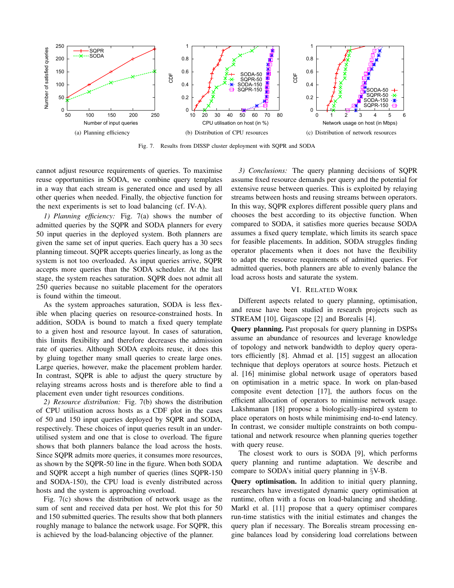

Fig. 7. Results from DISSP cluster deployment with SQPR and SODA

cannot adjust resource requirements of queries. To maximise reuse opportunities in SODA, we combine query templates in a way that each stream is generated once and used by all other queries when needed. Finally, the objective function for the next experiments is set to load balancing (cf. IV-A).

*1) Planning efficiency:* Fig. 7(a) shows the number of admitted queries by the SQPR and SODA planners for every 50 input queries in the deployed system. Both planners are given the same set of input queries. Each query has a 30 secs planning timeout. SQPR accepts queries linearly, as long as the system is not too overloaded. As input queries arrive, SQPR accepts more queries than the SODA scheduler. At the last stage, the system reaches saturation. SQPR does not admit all 250 queries because no suitable placement for the operators is found within the timeout.

As the system approaches saturation, SODA is less flexible when placing queries on resource-constrained hosts. In addition, SODA is bound to match a fixed query template to a given host and resource layout. In cases of saturation, this limits flexibility and therefore decreases the admission rate of queries. Although SODA exploits reuse, it does this by gluing together many small queries to create large ones. Large queries, however, make the placement problem harder. In contrast, SQPR is able to adjust the query structure by relaying streams across hosts and is therefore able to find a placement even under tight resources conditions.

*2) Resource distribution:* Fig. 7(b) shows the distribution of CPU utilisation across hosts as a CDF plot in the cases of 50 and 150 input queries deployed by SQPR and SODA, respectively. These choices of input queries result in an underutilised system and one that is close to overload. The figure shows that both planners balance the load across the hosts. Since SQPR admits more queries, it consumes more resources, as shown by the SQPR-50 line in the figure. When both SODA and SQPR accept a high number of queries (lines SQPR-150 and SODA-150), the CPU load is evenly distributed across hosts and the system is approaching overload.

Fig. 7(c) shows the distribution of network usage as the sum of sent and received data per host. We plot this for 50 and 150 submitted queries. The results show that both planners roughly manage to balance the network usage. For SQPR, this is achieved by the load-balancing objective of the planner.

*3) Conclusions:* The query planning decisions of SQPR assume fixed resource demands per query and the potential for extensive reuse between queries. This is exploited by relaying streams between hosts and reusing streams between operators. In this way, SQPR explores different possible query plans and chooses the best according to its objective function. When compared to SODA, it satisfies more queries because SODA assumes a fixed query template, which limits its search space for feasible placements. In addition, SODA struggles finding operator placements when it does not have the flexibility to adapt the resource requirements of admitted queries. For admitted queries, both planners are able to evenly balance the load across hosts and saturate the system.

## VI. RELATED WORK

Different aspects related to query planning, optimisation, and reuse have been studied in research projects such as STREAM [10], Gigascope [2] and Borealis [4].

Query planning. Past proposals for query planning in DSPSs assume an abundance of resources and leverage knowledge of topology and network bandwidth to deploy query operators efficiently [8]. Ahmad et al. [15] suggest an allocation technique that deploys operators at source hosts. Pietzuch et al. [16] minimise global network usage of operators based on optimisation in a metric space. In work on plan-based composite event detection [17], the authors focus on the efficient allocation of operators to minimise network usage. Lakshmanan [18] propose a biologically-inspired system to place operators on hosts while minimising end-to-end latency. In contrast, we consider multiple constraints on both computational and network resource when planning queries together with query reuse.

The closest work to ours is SODA [9], which performs query planning and runtime adaptation. We describe and compare to SODA's initial query planning in §V-B.

Query optimisation. In addition to initial query planning, researchers have investigated dynamic query optimisation at runtime, often with a focus on load-balancing and shedding. Markl et al. [11] propose that a query optimiser compares run-time statistics with the initial estimates and changes the query plan if necessary. The Borealis stream processing engine balances load by considering load correlations between